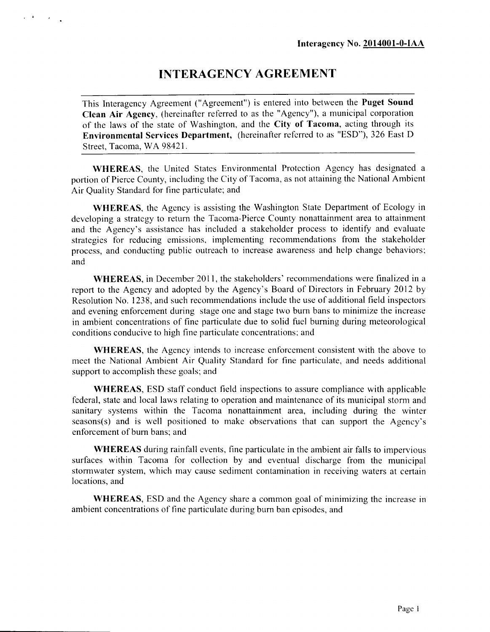# **INTERAGENCY AGREEMENT**

This Interagency Agreement ("Agreement") is entered into between the **Puget Sound Clean Air Agency,** (hereinafter referred to as the "Agency"), a municipal corporation of the laws of the state of Washington, and the **City of Tacoma,** acting through its **Environmental Services Department,** (hereinafter referred to as "ESD"), 326 East D Street, Tacoma, WA 98421.

**WHEREAS,** the United States Environmental Protection Agency has designated a portion of Pierce County, including the City of Tacoma, as not attaining the National Ambient Air Quality Standard for fine particulate; and

**WHEREAS,** the Agency is assisting the Washington State Department of Ecology in developing a strategy to return the Tacoma-Pierce County nonattainment area to attainment and the Agency's assistance has included a stakeholder process to identify and evaluate strategies for reducing emissions, implementing recommendations from the stakeholder process, and conducting public outreach to increase awareness and help change behaviors; and

**WHEREAS,** in December 2011, the stakeholders' recommendations were finalized in a report to the Agency and adopted by the Agency's Board of Directors in February 2012 by Resolution No. 1238, and such recommendations include the use of additional field inspectors and evening enforcement during stage one and stage two burn bans to minimize the increase in ambient concentrations of fine particulate due to solid fuel burning during meteorological conditions conducive to high fine particulate concentrations; and

**WHEREAS,** the Agency intends to increase enforcement consistent with the above to meet the National Ambient Air Quality Standard for fine particulate, and needs additional support to accomplish these goals; and

**WHEREAS,** ESD staff conduct field inspections to assure compliance with applicable federal, state and local laws relating to operation and maintenance of its municipal storm and sanitary systems within the Tacoma nonattainment area, including during the winter seasons(s) and is well positioned to make observations that can support the Agency's enforcement of burn bans; and

**WHEREAS** during rainfall events, fine particulate in the ambient air falls to impervious surfaces within Tacoma for collection by and eventual discharge from the municipal stormwater system, which may cause sediment contamination in receiving waters at certain locations, and

**WHEREAS,** ESD and the Agency share a common goal of minimizing the increase in ambient concentrations of fine particulate during burn ban episodes, and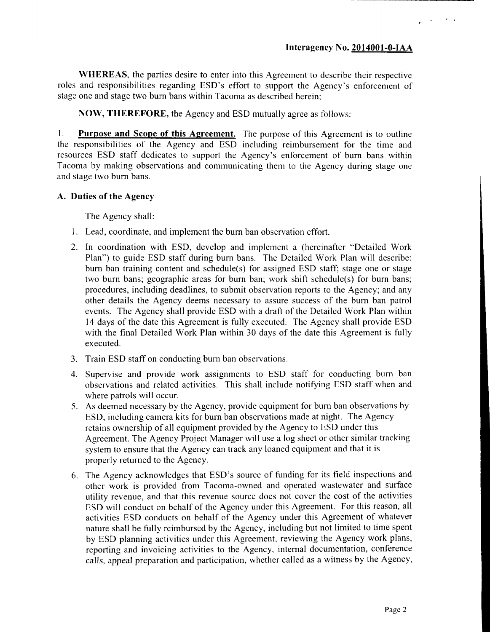**WHEREAS,** the parties desire to enter into this Agreement to describe their respective roles and responsibilities regarding ESD's effort to support the Agency's enforcement of stage one and stage two burn bans within Tacoma as described herein;

**NOW, THEREFORE,** the Agency and ESD mutually agree as follows:

**1. Purpose and Scope of this Agreement.** The purpose of this Agreement is to outline the responsibilities of the Agency and ESD including reimbursement for the time and resources ESD staff dedicates to support the Agency's enforcement of burn bans within Tacoma by making observations and communicating them to the Agency during stage one and stage two burn bans.

#### **A. Duties of the Agency**

The Agency shall:

- 1. Lead, coordinate, and implement the burn ban observation effort.
- 2. In coordination with ESD, develop and implement a (hereinafter "Detailed Work Plan") to guide ESD staff during burn bans. The Detailed Work Plan will describe: burn ban training content and schedule(s) for assigned ESD staff; stage one or stage two burn bans; geographic areas for burn ban; work shift schedule(s) for burn bans; procedures, including deadlines, to submit observation reports to the Agency; and any other details the Agency deems necessary to assure success of the burn ban patrol events. The Agency shall provide ESD with a draft of the Detailed Work Plan within 14 days of the date this Agreement is fully executed. The Agency shall provide ESD with the final Detailed Work Plan within 30 days of the date this Agreement is fully executed.
- 3. Train ESD staff on conducting burn ban observations.
- 4. Supervise and provide work assignments to ESD staff for conducting burn ban observations and related activities. This shall include notifying ESD staff when and where patrols will occur.
- 5. As deemed necessary by the Agency, provide equipment for burn ban observations by ESD, including camera kits for burn ban observations made at night. The Agency retains ownership of all equipment provided by the Agency to ESD under this Agreement. The Agency Project Manager will use a log sheet or other similar tracking system to ensure that the Agency can track any loaned equipment and that it is properly returned to the Agency.
- 6. The Agency acknowledges that ESD's source of funding for its field inspections and other work is provided from Tacoma-owned and operated wastewater and surface utility revenue, and that this revenue source does not cover the cost of the activities ESD will conduct on behalf of the Agency under this Agreement. For this reason, all activities ESD conducts on behalf of the Agency under this Agreement of whatever nature shall be fully reimbursed by the Agency, including but not limited to time spent by ESD planning activities under this Agreement, reviewing the Agency work plans, reporting and invoicing activities to the Agency, internal documentation, conference calls, appeal preparation and participation, whether called as a witness by the Agency,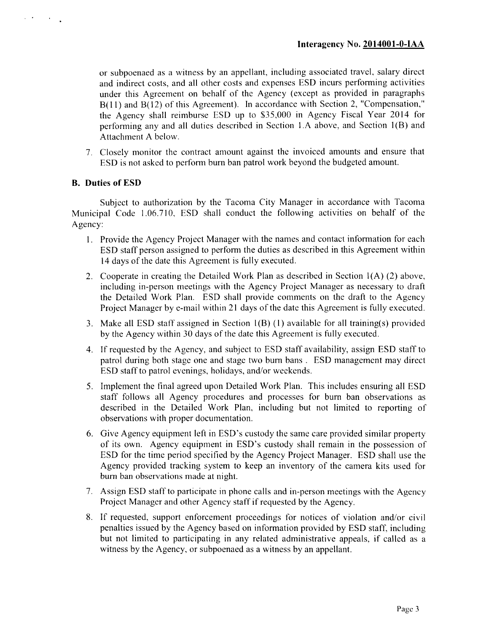or subpoenaed as a witness by an appellant, including associated travel, salary direct and indirect costs, and all other costs and expenses BSD incurs performing activities under this Agreement on behalf of the Agency (except as provided in paragraphs B(l 1) and B(12) of this Agreement). In accordance with Section 2, "Compensation," the Agency shall reimburse BSD up to \$35,000 in Agency Fiscal Year 2014 for performing any and all duties described in Section l.A above, and Section 1(B) and Attachment A below.

7. Closely monitor the contract amount against the invoiced amounts and ensure that BSD is not asked to perform burn ban patrol work beyond the budgeted amount.

#### **B. Duties of ESD**

 $\mu = 2\pi$ 

Subject to authorization by the Tacoma City Manager in accordance with Tacoma Municipal Code 1.06.710, ESD shall conduct the following activities on behalf of the Agency:

- 1. Provide the Agency Project Manager with the names and contact information for each ESD staff person assigned to perform the duties as described in this Agreement within 14 days of the date this Agreement is fully executed.
- 2. Cooperate in creating the Detailed Work Plan as described in Section  $1(A)$  (2) above, including in-person meetings with the Agency Project Manager as necessary to draft the Detailed Work Plan. ESD shall provide comments on the draft to the Agency Project Manager by e-mail within 21 days of the date this Agreement is fully executed.
- 3. Make all ESD staff assigned in Section 1(B) (1) available for all training(s) provided by the Agency within 30 days of the date this Agreement is fully executed.
- 4. If requested by the Agency, and subject to ESD staff availability, assign ESD staff to patrol during both stage one and stage two burn bans . ESD management may direct ESD staff to patrol evenings, holidays, and/or weekends.
- 5. Implement the final agreed upon Detailed Work Plan. This includes ensuring all ESD staff follows all Agency procedures and processes for burn ban observations as described in the Detailed Work Plan, including but not limited to reporting of observations with proper documentation.
- 6. Give Agency equipment left in ESD's custody the same care provided similar property of its own. Agency equipment in ESD's custody shall remain in the possession of ESD for the time period specified by the Agency Project Manager. ESD shall use the Agency provided tracking system to keep an inventory of the camera kits used for burn ban observations made at night.
- 7. Assign ESD staff to participate in phone calls and in-person meetings with the Agency Project Manager and other Agency staff if requested by the Agency.
- 8. If requested, support enforcement proceedings for notices of violation and/or civil penalties issued by the Agency based on information provided by ESD staff, including but not limited to participating in any related administrative appeals, if called as a witness by the Agency, or subpoenaed as a witness by an appellant.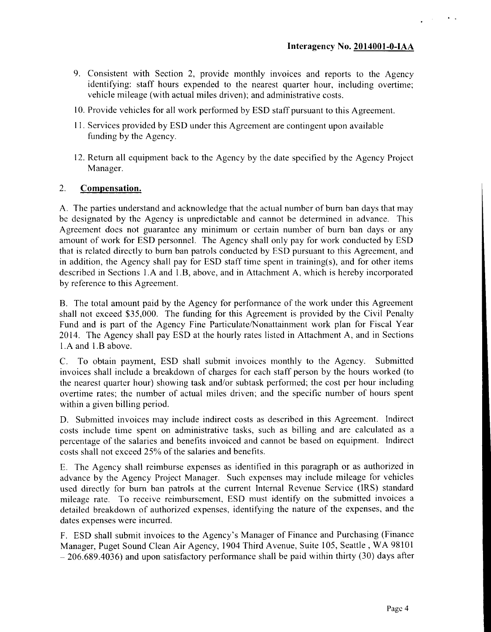- 9. Consistent with Section 2, provide monthly invoices and reports to the Agency identifying: staff hours expended to the nearest quarter hour, including overtime; vehicle mileage (with actual miles driven); and administrative costs.
- 10. Provide vehicles for all work performed by ESD staff pursuant to this Agreement.
- 11. Services provided by ESD under this Agreement are contingent upon available funding by the Agency.
- 12. Return all equipment back to the Agency by the date specified by the Agency Project Manager.

#### **2. Compensation.**

A. The parties understand and acknowledge that the actual number of burn ban days that may be designated by the Agency is unpredictable and cannot be determined in advance. This Agreement does not guarantee any minimum or certain number of burn ban days or any amount of work for ESD personnel. The Agency shall only pay for work conducted by ESD that is related directly to burn ban patrols conducted by ESD pursuant to this Agreement, and in addition, the Agency shall pay for ESD staff time spent in training(s), and for other items described in Sections l.A and l.B, above, and in Attachment A, which is hereby incorporated by reference to this Agreement.

B. The total amount paid by the Agency for performance of the work under this Agreement shall not exceed \$35,000. The funding for this Agreement is provided by the Civil Penalty Fund and is part of the Agency Fine Particulate/Nonattainment work plan for Fiscal Year 2014. The Agency shall pay ESD at the hourly rates listed in Attachment A, and in Sections 1 .A and 1 .B above.

C. To obtain payment, ESD shall submit invoices monthly to the Agency. Submitted invoices shall include a breakdown of charges for each staff person by the hours worked (to the nearest quarter hour) showing task and/or subtask performed; the cost per hour including overtime rates; the number of actual miles driven; and the specific number of hours spent within a given billing period.

D. Submitted invoices may include indirect costs as described in this Agreement. Indirect costs include time spent on administrative tasks, such as billing and are calculated as a percentage of the salaries and benefits invoiced and cannot be based on equipment. Indirect costs shall not exceed 25% of the salaries and benefits.

E. The Agency shall reimburse expenses as identified in this paragraph or as authorized in advance by the Agency Project Manager. Such expenses may include mileage for vehicles used directly for burn ban patrols at the current Internal Revenue Service (IRS) standard mileage rate. To receive reimbursement, ESD must identify on the submitted invoices a detailed breakdown of authorized expenses, identifying the nature of the expenses, and the dates expenses were incurred.

F. ESD shall submit invoices to the Agency's Manager of Finance and Purchasing (Finance Manager, Puget Sound Clean Air Agency, 1904 Third Avenue, Suite 105, Seattle , WA 98101  $-206.689.4036$ ) and upon satisfactory performance shall be paid within thirty (30) days after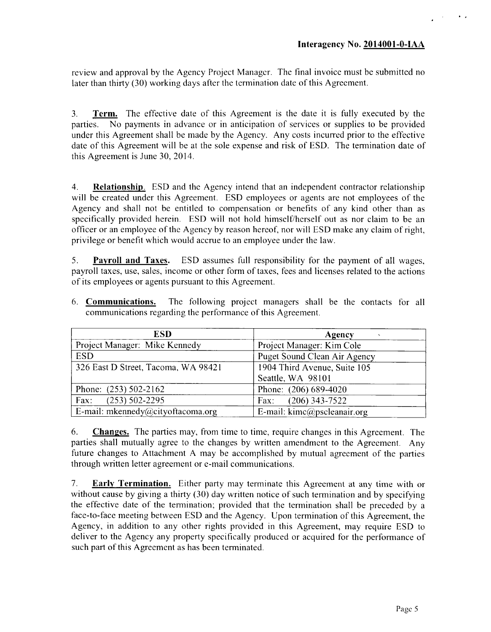review and approval by the Agency Project Manager. The final invoice must be submitted no later than thirty (30) working days after the termination date of this Agreement.

**3. Term.** The effective date of this Agreement is the date it is fully executed by the parties. No payments in advance or in anticipation of services or supplies to be provided under this Agreement shall be made by the Agency. Any costs incurred prior to the effective date of this Agreement will be at the sole expense and risk of ESD. The termination date of this Agreement is June 30, 2014.

**4. Relationship.** BSD and the Agency intend that an independent contractor relationship will be created under this Agreement. BSD employees or agents are not employees of the Agency and shall not be entitled to compensation or benefits of any kind other than as specifically provided herein. ESD will not hold himself/herself out as nor claim to be an officer or an employee of the Agency by reason hereof, nor will ESD make any claim of right, privilege or benefit which would accrue to an employee under the law.

**5. Payroll and Taxes.** BSD assumes full responsibility for the payment of all wages, payroll taxes, use, sales, income or other form of taxes, fees and licenses related to the actions of its employees or agents pursuant to this Agreement.

| 6. <b>Communications.</b> The following project managers shall be the contacts for all |  |  |  |  |  |  |  |  |  |
|----------------------------------------------------------------------------------------|--|--|--|--|--|--|--|--|--|
| communications regarding the performance of this Agreement.                            |  |  |  |  |  |  |  |  |  |

| <b>ESD</b>                          | Agency                       |
|-------------------------------------|------------------------------|
| Project Manager: Mike Kennedy       | Project Manager: Kim Cole    |
| <b>ESD</b>                          | Puget Sound Clean Air Agency |
| 326 East D Street, Tacoma, WA 98421 | 1904 Third Avenue, Suite 105 |
|                                     | Seattle, WA 98101            |
| Phone: $(253) 502-2162$             | Phone: (206) 689-4020        |
| $(253) 502 - 2295$<br>Fax:          | $(206)$ 343-7522<br>Fax:     |
| E-mail: mkennedy@cityoftacoma.org   | E-mail: kimc@pscleanair.org  |

**6. Changes.** The parties may, from time to time, require changes in this Agreement. The parties shall mutually agree to the changes by written amendment to the Agreement. Any future changes to Attachment A may be accomplished by mutual agreement of the parties through written letter agreement or e-mail communications.

**7. Early Termination.** Either party may terminate this Agreement at any time with or without cause by giving a thirty (30) day written notice of such termination and by specifying the effective date of the termination; provided that the termination shall be preceded by a face-to-face meeting between ESD and the Agency. Upon termination of this Agreement, the Agency, in addition to any other rights provided in this Agreement, may require ESD to deliver to the Agency any property specifically produced or acquired for the performance of such part of this Agreement as has been terminated.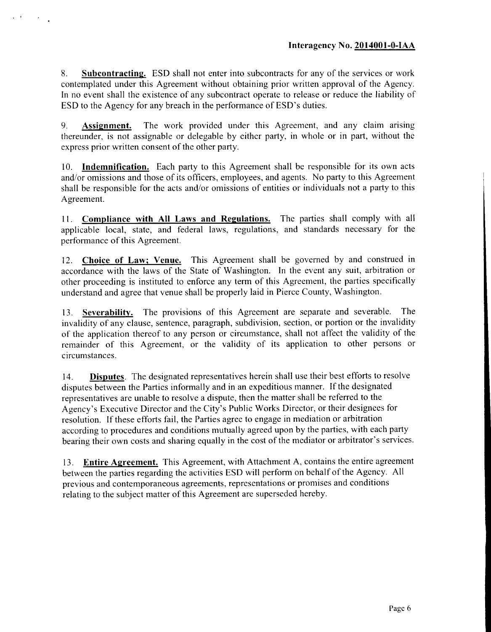**8. Subcontracting.** ESD shall not enter into subcontracts for any of the services or work contemplated under this Agreement without obtaining prior written approval of the Agency. In no event shall the existence of any subcontract operate to release or reduce the liability of ESD to the Agency for any breach in the performance of ESD's duties.

**9. Assignment.** The work provided under this Agreement, and any claim arising thereunder, is not assignable or delegable by either party, in whole or in part, without the express prior written consent of the other party.

10. **Indemnification.** Each party to this Agreement shall be responsible for its own acts and/or omissions and those of its officers, employees, and agents. No party to this Agreement shall be responsible for the acts and/or omissions of entities or individuals not a party to this Agreement.

**1 1 . Compliance with All Laws and Regulations.** The parties shall comply with all applicable local, state, and federal laws, regulations, and standards necessary for the performance of this Agreement.

12. **Choice of Law; Venue.** This Agreement shall be governed by and construed in accordance with the laws of the State of Washington. In the event any suit, arbitration or other proceeding is instituted to enforce any term of this Agreement, the parties specifically understand and agree that venue shall be properly laid in Pierce County, Washington.

13. **Severability.** The provisions of this Agreement are separate and severable. The invalidity of any clause, sentence, paragraph, subdivision, section, or portion or the invalidity of the application thereof to any person or circumstance, shall not affect the validity of the remainder of this Agreement, or the validity of its application to other persons or circumstances.

14. **Disputes.** The designated representatives herein shall use their best efforts to resolve disputes between the Parties informally and in an expeditious manner. If the designated representatives are unable to resolve a dispute, then the matter shall be referred to the Agency's Executive Director and the City's Public Works Director, or their designees for resolution. If these efforts fail, the Parties agree to engage in mediation or arbitration according to procedures and conditions mutually agreed upon by the parties, with each party bearing their own costs and sharing equally in the cost of the mediator or arbitrator's services.

13. **Entire Agreement.** This Agreement, with Attachment A, contains the entire agreement between the parties regarding the activities ESD will perform on behalf of the Agency. All previous and contemporaneous agreements, representations or promises and conditions relating to the subject matter of this Agreement are superseded hereby.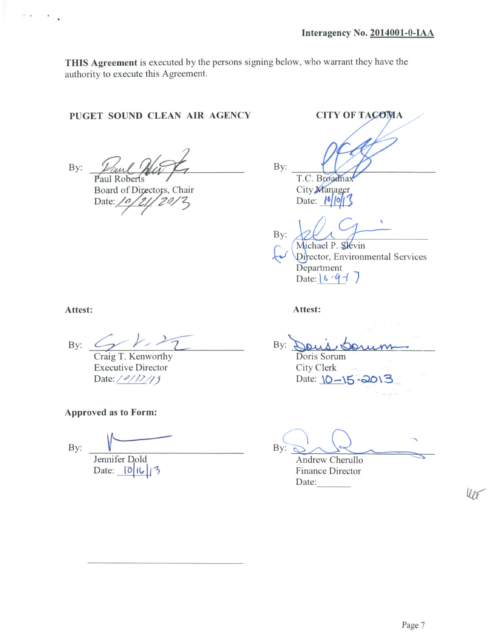**THIS Agreement** is executed by the persons signing below, who warrant they have the authority to execute this Agreement.

### **PUGET SOUND CLEAN AIR AGENCY CITY OF TA**

By: and Mat Board of Directors, Chair Date:  $\sqrt{\rho}$  $20/3$ 

T.C. Broadnax

City Manager Date:  $| \cdot | \cdot | \cdot | \cdot | \cdot |$ 

By:

By:

Michael P. Slevin Director, Environmental Services Department Date:  $6 - 9 - 7$ 

**Attest: Attest:**

By:

Craig T. Kenworthy Executive Director Date:  $\frac{2}{12}$ 

**Approved as to Form:**

By:

Jennifer Dold Date:  $|0|1|3$ 

By:  $\sim$ : Dons Doris Sorum

City Clerk Date:  $10 - 15 - 2013$ 

 $By: \alpha$ Andrew Cherullo

Finance Director Date:

 $Uor$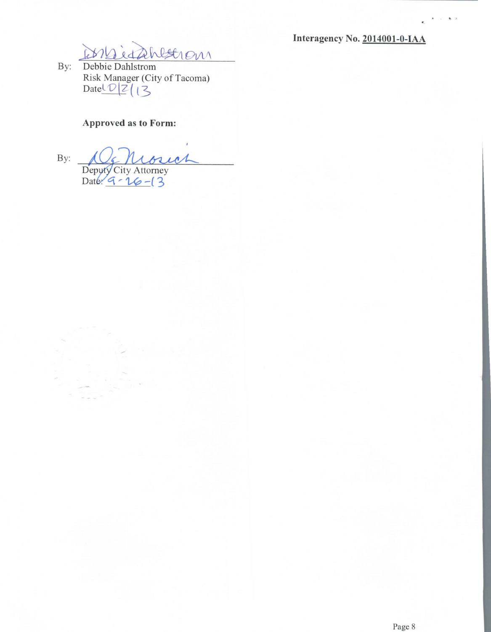**Interagency No. 2014001-0-IAA**



Risk Manager (City of Tacoma)<br>Date  $\frac{1}{2}$   $\frac{2}{3}$ 

## **Approved as to Form:**

By: ict *Deputy City Attorney*<br>Date: 9 - 16 - 3